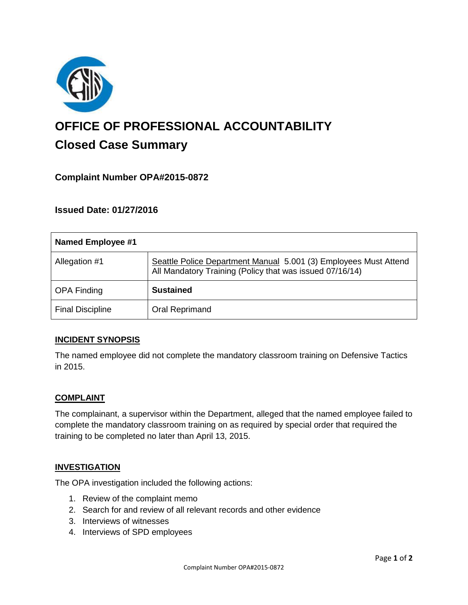

# **OFFICE OF PROFESSIONAL ACCOUNTABILITY Closed Case Summary**

# **Complaint Number OPA#2015-0872**

# **Issued Date: 01/27/2016**

| <b>Named Employee #1</b> |                                                                                                                              |
|--------------------------|------------------------------------------------------------------------------------------------------------------------------|
| Allegation #1            | Seattle Police Department Manual 5.001 (3) Employees Must Attend<br>All Mandatory Training (Policy that was issued 07/16/14) |
| <b>OPA Finding</b>       | <b>Sustained</b>                                                                                                             |
| <b>Final Discipline</b>  | <b>Oral Reprimand</b>                                                                                                        |

## **INCIDENT SYNOPSIS**

The named employee did not complete the mandatory classroom training on Defensive Tactics in 2015.

#### **COMPLAINT**

The complainant, a supervisor within the Department, alleged that the named employee failed to complete the mandatory classroom training on as required by special order that required the training to be completed no later than April 13, 2015.

#### **INVESTIGATION**

The OPA investigation included the following actions:

- 1. Review of the complaint memo
- 2. Search for and review of all relevant records and other evidence
- 3. Interviews of witnesses
- 4. Interviews of SPD employees